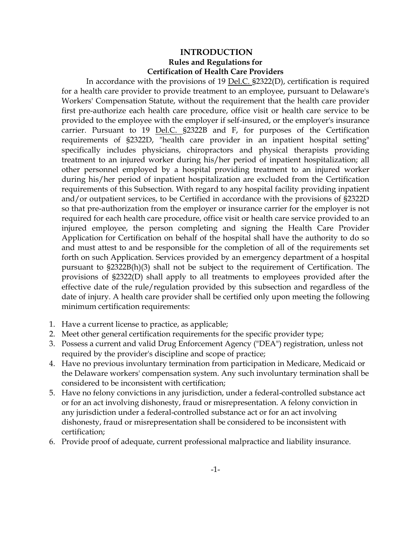## **INTRODUCTION Rules and Regulations for Certification of Health Care Providers**

In accordance with the provisions of 19 Del.C. §2322(D), certification is required for a health care provider to provide treatment to an employee, pursuant to Delaware's Workers' Compensation Statute, without the requirement that the health care provider first pre-authorize each health care procedure, office visit or health care service to be provided to the employee with the employer if self-insured, or the employer's insurance carrier. Pursuant to 19 Del.C. §2322B and F, for purposes of the Certification requirements of §2322D, "health care provider in an inpatient hospital setting" specifically includes physicians, chiropractors and physical therapists providing treatment to an injured worker during his/her period of inpatient hospitalization; all other personnel employed by a hospital providing treatment to an injured worker during his/her period of inpatient hospitalization are excluded from the Certification requirements of this Subsection. With regard to any hospital facility providing inpatient and/or outpatient services, to be Certified in accordance with the provisions of §2322D so that pre-authorization from the employer or insurance carrier for the employer is not required for each health care procedure, office visit or health care service provided to an injured employee, the person completing and signing the Health Care Provider Application for Certification on behalf of the hospital shall have the authority to do so and must attest to and be responsible for the completion of all of the requirements set forth on such Application. Services provided by an emergency department of a hospital pursuant to §2322B(h)(3) shall not be subject to the requirement of Certification. The provisions of §2322(D) shall apply to all treatments to employees provided after the effective date of the rule/regulation provided by this subsection and regardless of the date of injury. A health care provider shall be certified only upon meeting the following minimum certification requirements:

- 1. Have a current license to practice, as applicable;
- 2. Meet other general certification requirements for the specific provider type;
- 3. Possess a current and valid Drug Enforcement Agency ("DEA") registration, unless not required by the provider's discipline and scope of practice;
- 4. Have no previous involuntary termination from participation in Medicare, Medicaid or the Delaware workers' compensation system. Any such involuntary termination shall be considered to be inconsistent with certification;
- 5. Have no felony convictions in any jurisdiction, under a federal-controlled substance act or for an act involving dishonesty, fraud or misrepresentation. A felony conviction in any jurisdiction under a federal-controlled substance act or for an act involving dishonesty, fraud or misrepresentation shall be considered to be inconsistent with certification;
- 6. Provide proof of adequate, current professional malpractice and liability insurance.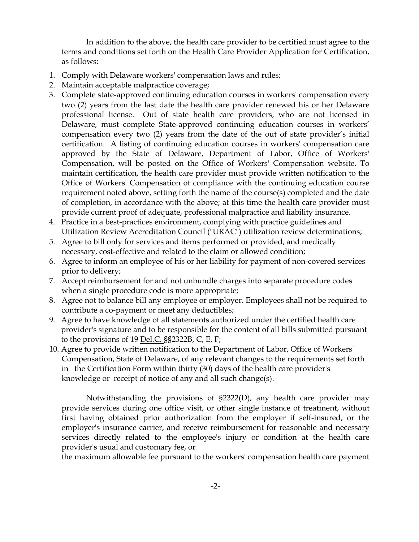In addition to the above, the health care provider to be certified must agree to the terms and conditions set forth on the Health Care Provider Application for Certification, as follows:

- 1. Comply with Delaware workers' compensation laws and rules;
- 2. Maintain acceptable malpractice coverage;
- 3. Complete state-approved continuing education courses in workers' compensation every two (2) years from the last date the health care provider renewed his or her Delaware professional license. Out of state health care providers, who are not licensed in Delaware, must complete State-approved continuing education courses in workers' compensation every two (2) years from the date of the out of state provider's initial certification. A listing of continuing education courses in workers' compensation care approved by the State of Delaware, Department of Labor, Office of Workers' Compensation, will be posted on the Office of Workers' Compensation website. To maintain certification, the health care provider must provide written notification to the Office of Workers' Compensation of compliance with the continuing education course requirement noted above, setting forth the name of the course(s) completed and the date of completion, in accordance with the above; at this time the health care provider must provide current proof of adequate, professional malpractice and liability insurance.
- 4. Practice in a best-practices environment, complying with practice guidelines and Utilization Review Accreditation Council ("URAC") utilization review determinations;
- 5. Agree to bill only for services and items performed or provided, and medically necessary, cost-effective and related to the claim or allowed condition;
- 6. Agree to inform an employee of his or her liability for payment of non-covered services prior to delivery;
- 7. Accept reimbursement for and not unbundle charges into separate procedure codes when a single procedure code is more appropriate;
- 8. Agree not to balance bill any employee or employer. Employees shall not be required to contribute a co-payment or meet any deductibles;
- 9. Agree to have knowledge of all statements authorized under the certified health care provider's signature and to be responsible for the content of all bills submitted pursuant to the provisions of 19 <u>Del.C.</u>  $\S$ §2322B, C, E, F;
- 10. Agree to provide written notification to the Department of Labor, Office of Workers' Compensation, State of Delaware, of any relevant changes to the requirements set forth in the Certification Form within thirty (30) days of the health care provider's knowledge or receipt of notice of any and all such change(s).

Notwithstanding the provisions of §2322(D), any health care provider may provide services during one office visit, or other single instance of treatment, without first having obtained prior authorization from the employer if self-insured, or the employer's insurance carrier, and receive reimbursement for reasonable and necessary services directly related to the employee's injury or condition at the health care provider's usual and customary fee, or

the maximum allowable fee pursuant to the workers' compensation health care payment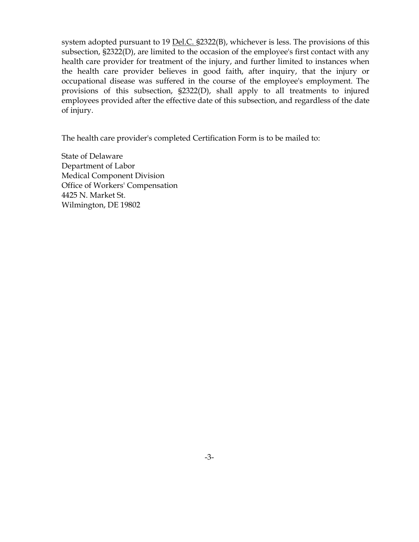system adopted pursuant to 19 Del.C. §2322(B), whichever is less. The provisions of this subsection, §2322(D), are limited to the occasion of the employee's first contact with any health care provider for treatment of the injury, and further limited to instances when the health care provider believes in good faith, after inquiry, that the injury or occupational disease was suffered in the course of the employee's employment. The provisions of this subsection, §2322(D), shall apply to all treatments to injured employees provided after the effective date of this subsection, and regardless of the date of injury.

The health care provider's completed Certification Form is to be mailed to:

State of Delaware Department of Labor Medical Component Division Office of Workers' Compensation 4425 N. Market St. Wilmington, DE 19802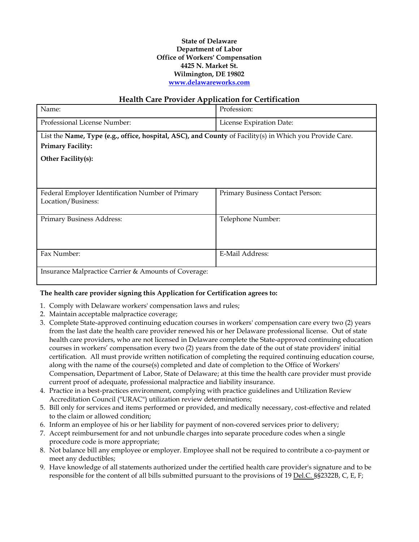## **State of Delaware Department of Labor Office of Workers' Compensation 4425 N. Market St. Wilmington, DE 19802 [www.delawareworks.com](http://www.delawareworks.com/)**

## **Health Care Provider Application for Certification**

| Name:                                                                                                   | Profession:                      |
|---------------------------------------------------------------------------------------------------------|----------------------------------|
| Professional License Number:                                                                            | License Expiration Date:         |
| List the Name, Type (e.g., office, hospital, ASC), and County of Facility(s) in Which you Provide Care. |                                  |
| <b>Primary Facility:</b>                                                                                |                                  |
| Other Facility(s):                                                                                      |                                  |
|                                                                                                         |                                  |
|                                                                                                         |                                  |
| Federal Employer Identification Number of Primary                                                       | Primary Business Contact Person: |
| Location/Business:                                                                                      |                                  |
|                                                                                                         |                                  |
| Primary Business Address:                                                                               | Telephone Number:                |
|                                                                                                         |                                  |
|                                                                                                         |                                  |
| Fax Number:                                                                                             | E-Mail Address:                  |
|                                                                                                         |                                  |
| Insurance Malpractice Carrier & Amounts of Coverage:                                                    |                                  |

## **The health care provider signing this Application for Certification agrees to:**

- 1. Comply with Delaware workers' compensation laws and rules;
- 2. Maintain acceptable malpractice coverage;
- 3. Complete State-approved continuing education courses in workers' compensation care every two (2) years from the last date the health care provider renewed his or her Delaware professional license. Out of state health care providers, who are not licensed in Delaware complete the State-approved continuing education courses in workers' compensation every two (2) years from the date of the out of state providers' initial certification. All must provide written notification of completing the required continuing education course, along with the name of the course(s) completed and date of completion to the Office of Workers' Compensation, Department of Labor, State of Delaware; at this time the health care provider must provide current proof of adequate, professional malpractice and liability insurance.
- 4. Practice in a best-practices environment, complying with practice guidelines and Utilization Review Accreditation Council ("URAC") utilization review determinations;
- 5. Bill only for services and items performed or provided, and medically necessary, cost-effective and related to the claim or allowed condition;
- 6. Inform an employee of his or her liability for payment of non-covered services prior to delivery;
- 7. Accept reimbursement for and not unbundle charges into separate procedure codes when a single procedure code is more appropriate;
- 8. Not balance bill any employee or employer. Employee shall not be required to contribute a co-payment or meet any deductibles;
- 9. Have knowledge of all statements authorized under the certified health care provider's signature and to be responsible for the content of all bills submitted pursuant to the provisions of 19 Del.C. §§2322B, C, E, F;